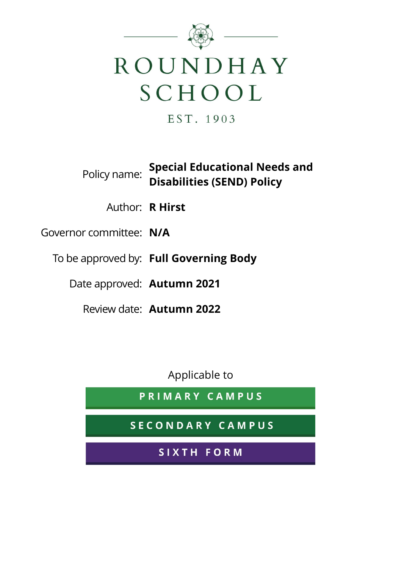

EST. 1903

**Special Educational Needs and Policy name:** Disabilities (SEND) Deliant Disabilities (SEND) Policy

Author: R Hirst

Governor committee: N/A

To be approved by: Full Governing Body

Date approved: Autumn 2021

Review date: Autumn 2022

Applicable to

PRIMARY CAMPUS

SECONDARY CAMPUS

SIXTH FORM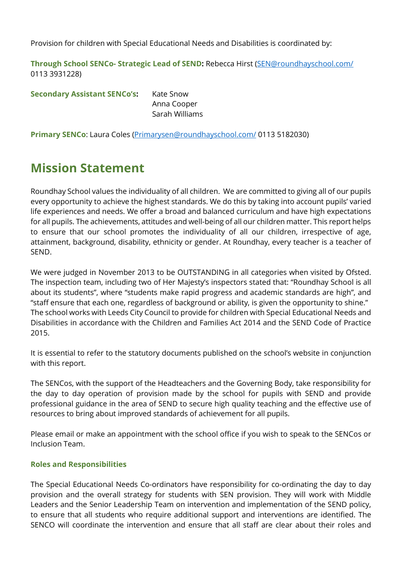Provision for children with Special Educational Needs and Disabilities is coordinated by:

Through School SENCo- Strategic Lead of SEND: Rebecca Hirst (SEN@roundhayschool.com/ 0113 3931228)

Secondary Assistant SENCo's: Kate Snow Anna Cooper Sarah Williams

Primary SENCo: Laura Coles (Primarysen@roundhayschool.com/ 0113 5182030)

# Mission Statement

Roundhay School values the individuality of all children. We are committed to giving all of our pupils every opportunity to achieve the highest standards. We do this by taking into account pupils' varied life experiences and needs. We offer a broad and balanced curriculum and have high expectations for all pupils. The achievements, attitudes and well-being of all our children matter. This report helps to ensure that our school promotes the individuality of all our children, irrespective of age, attainment, background, disability, ethnicity or gender. At Roundhay, every teacher is a teacher of SEND.

We were judged in November 2013 to be OUTSTANDING in all categories when visited by Ofsted. The inspection team, including two of Her Majesty's inspectors stated that: "Roundhay School is all about its students", where "students make rapid progress and academic standards are high", and "staff ensure that each one, regardless of background or ability, is given the opportunity to shine." The school works with Leeds City Council to provide for children with Special Educational Needs and Disabilities in accordance with the Children and Families Act 2014 and the SEND Code of Practice 2015.

It is essential to refer to the statutory documents published on the school's website in conjunction with this report.

The SENCos, with the support of the Headteachers and the Governing Body, take responsibility for the day to day operation of provision made by the school for pupils with SEND and provide professional guidance in the area of SEND to secure high quality teaching and the effective use of resources to bring about improved standards of achievement for all pupils.

Please email or make an appointment with the school office if you wish to speak to the SENCos or Inclusion Team.

# Roles and Responsibilities

The Special Educational Needs Co-ordinators have responsibility for co-ordinating the day to day provision and the overall strategy for students with SEN provision. They will work with Middle Leaders and the Senior Leadership Team on intervention and implementation of the SEND policy, to ensure that all students who require additional support and interventions are identified. The SENCO will coordinate the intervention and ensure that all staff are clear about their roles and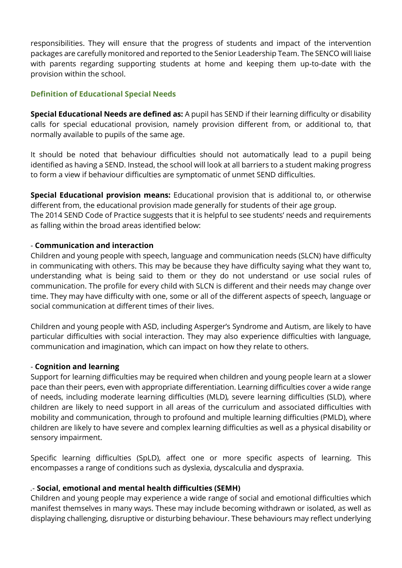responsibilities. They will ensure that the progress of students and impact of the intervention packages are carefully monitored and reported to the Senior Leadership Team. The SENCO will liaise with parents regarding supporting students at home and keeping them up-to-date with the provision within the school.

## Definition of Educational Special Needs

Special Educational Needs are defined as: A pupil has SEND if their learning difficulty or disability calls for special educational provision, namely provision different from, or additional to, that normally available to pupils of the same age.

It should be noted that behaviour difficulties should not automatically lead to a pupil being identified as having a SEND. Instead, the school will look at all barriers to a student making progress to form a view if behaviour difficulties are symptomatic of unmet SEND difficulties.

Special Educational provision means: Educational provision that is additional to, or otherwise different from, the educational provision made generally for students of their age group. The 2014 SEND Code of Practice suggests that it is helpful to see students' needs and requirements as falling within the broad areas identified below:

## - Communication and interaction

Children and young people with speech, language and communication needs (SLCN) have difficulty in communicating with others. This may be because they have difficulty saying what they want to, understanding what is being said to them or they do not understand or use social rules of communication. The profile for every child with SLCN is different and their needs may change over time. They may have difficulty with one, some or all of the different aspects of speech, language or social communication at different times of their lives.

Children and young people with ASD, including Asperger's Syndrome and Autism, are likely to have particular difficulties with social interaction. They may also experience difficulties with language, communication and imagination, which can impact on how they relate to others.

#### - Cognition and learning

Support for learning difficulties may be required when children and young people learn at a slower pace than their peers, even with appropriate differentiation. Learning difficulties cover a wide range of needs, including moderate learning difficulties (MLD), severe learning difficulties (SLD), where children are likely to need support in all areas of the curriculum and associated difficulties with mobility and communication, through to profound and multiple learning difficulties (PMLD), where children are likely to have severe and complex learning difficulties as well as a physical disability or sensory impairment.

Specific learning difficulties (SpLD), affect one or more specific aspects of learning. This encompasses a range of conditions such as dyslexia, dyscalculia and dyspraxia.

#### .- Social, emotional and mental health difficulties (SEMH)

Children and young people may experience a wide range of social and emotional difficulties which manifest themselves in many ways. These may include becoming withdrawn or isolated, as well as displaying challenging, disruptive or disturbing behaviour. These behaviours may reflect underlying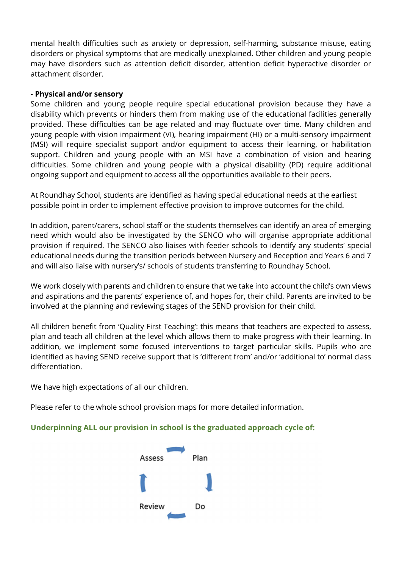mental health difficulties such as anxiety or depression, self-harming, substance misuse, eating disorders or physical symptoms that are medically unexplained. Other children and young people may have disorders such as attention deficit disorder, attention deficit hyperactive disorder or attachment disorder.

#### - Physical and/or sensory

Some children and young people require special educational provision because they have a disability which prevents or hinders them from making use of the educational facilities generally provided. These difficulties can be age related and may fluctuate over time. Many children and young people with vision impairment (VI), hearing impairment (HI) or a multi-sensory impairment (MSI) will require specialist support and/or equipment to access their learning, or habilitation support. Children and young people with an MSI have a combination of vision and hearing difficulties. Some children and young people with a physical disability (PD) require additional ongoing support and equipment to access all the opportunities available to their peers.

At Roundhay School, students are identified as having special educational needs at the earliest possible point in order to implement effective provision to improve outcomes for the child.

In addition, parent/carers, school staff or the students themselves can identify an area of emerging need which would also be investigated by the SENCO who will organise appropriate additional provision if required. The SENCO also liaises with feeder schools to identify any students' special educational needs during the transition periods between Nursery and Reception and Years 6 and 7 and will also liaise with nursery's/ schools of students transferring to Roundhay School.

We work closely with parents and children to ensure that we take into account the child's own views and aspirations and the parents' experience of, and hopes for, their child. Parents are invited to be involved at the planning and reviewing stages of the SEND provision for their child.

All children benefit from 'Quality First Teaching': this means that teachers are expected to assess, plan and teach all children at the level which allows them to make progress with their learning. In addition, we implement some focused interventions to target particular skills. Pupils who are identified as having SEND receive support that is 'different from' and/or 'additional to' normal class differentiation.

We have high expectations of all our children.

Please refer to the whole school provision maps for more detailed information.

#### Underpinning ALL our provision in school is the graduated approach cycle of:

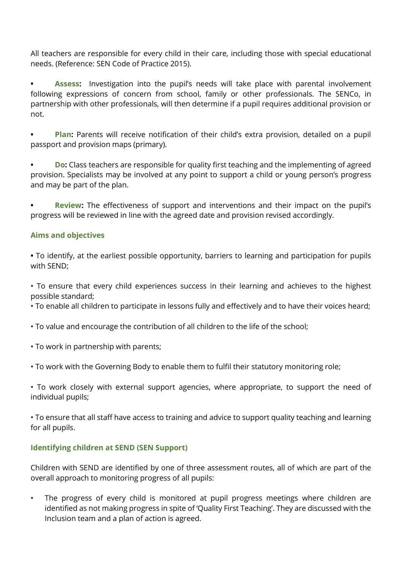All teachers are responsible for every child in their care, including those with special educational needs. (Reference: SEN Code of Practice 2015).

Assess: Investigation into the pupil's needs will take place with parental involvement following expressions of concern from school, family or other professionals. The SENCo, in partnership with other professionals, will then determine if a pupil requires additional provision or not.

**Plan:** Parents will receive notification of their child's extra provision, detailed on a pupil passport and provision maps (primary).

**Do:** Class teachers are responsible for quality first teaching and the implementing of agreed provision. Specialists may be involved at any point to support a child or young person's progress and may be part of the plan.

**Review:** The effectiveness of support and interventions and their impact on the pupil's progress will be reviewed in line with the agreed date and provision revised accordingly.

# Aims and objectives

• To identify, at the earliest possible opportunity, barriers to learning and participation for pupils with SEND;

• To ensure that every child experiences success in their learning and achieves to the highest possible standard;

• To enable all children to participate in lessons fully and effectively and to have their voices heard;

- To value and encourage the contribution of all children to the life of the school;
- To work in partnership with parents;
- To work with the Governing Body to enable them to fulfil their statutory monitoring role;

• To work closely with external support agencies, where appropriate, to support the need of individual pupils;

• To ensure that all staff have access to training and advice to support quality teaching and learning for all pupils.

# Identifying children at SEND (SEN Support)

Children with SEND are identified by one of three assessment routes, all of which are part of the overall approach to monitoring progress of all pupils:

• The progress of every child is monitored at pupil progress meetings where children are identified as not making progress in spite of 'Quality First Teaching'. They are discussed with the Inclusion team and a plan of action is agreed.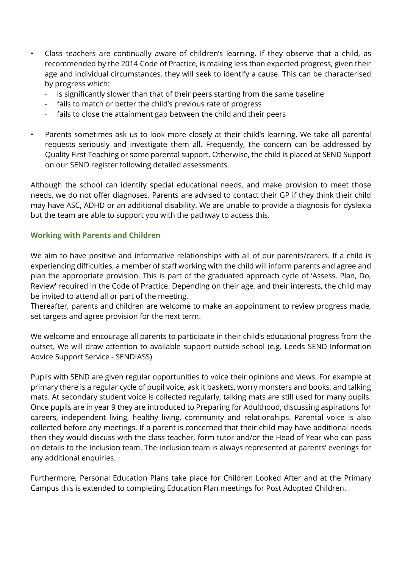- Class teachers are continually aware of children's learning. If they observe that a child, as recommended by the 2014 Code of Practice, is making less than expected progress, given their age and individual circumstances, they will seek to identify a cause. This can be characterised by progress which:
	- is significantly slower than that of their peers starting from the same baseline
	- fails to match or better the child's previous rate of progress
	- fails to close the attainment gap between the child and their peers
- Parents sometimes ask us to look more closely at their child's learning. We take all parental requests seriously and investigate them all. Frequently, the concern can be addressed by Quality First Teaching or some parental support. Otherwise, the child is placed at SEND Support on our SEND register following detailed assessments.

Although the school can identify special educational needs, and make provision to meet those needs, we do not offer diagnoses. Parents are advised to contact their GP if they think their child may have ASC, ADHD or an additional disability. We are unable to provide a diagnosis for dyslexia but the team are able to support you with the pathway to access this.

#### Working with Parents and Children

We aim to have positive and informative relationships with all of our parents/carers. If a child is experiencing difficulties, a member of staff working with the child will inform parents and agree and plan the appropriate provision. This is part of the graduated approach cycle of 'Assess, Plan, Do, Review' required in the Code of Practice. Depending on their age, and their interests, the child may be invited to attend all or part of the meeting.

Thereafter, parents and children are welcome to make an appointment to review progress made, set targets and agree provision for the next term.

We welcome and encourage all parents to participate in their child's educational progress from the outset. We will draw attention to available support outside school (e.g. Leeds SEND Information Advice Support Service - SENDIASS)

Pupils with SEND are given regular opportunities to voice their opinions and views. For example at primary there is a regular cycle of pupil voice, ask it baskets, worry monsters and books, and talking mats. At secondary student voice is collected regularly, talking mats are still used for many pupils. Once pupils are in year 9 they are introduced to Preparing for Adulthood, discussing aspirations for careers, independent living, healthy living, community and relationships. Parental voice is also collected before any meetings. If a parent is concerned that their child may have additional needs then they would discuss with the class teacher, form tutor and/or the Head of Year who can pass on details to the Inclusion team. The Inclusion team is always represented at parents' evenings for any additional enquiries.

Furthermore, Personal Education Plans take place for Children Looked After and at the Primary Campus this is extended to completing Education Plan meetings for Post Adopted Children.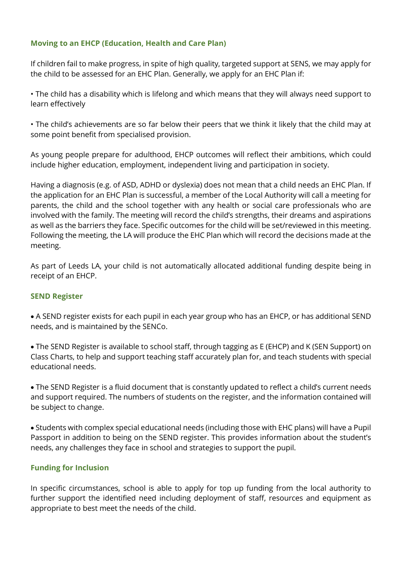# Moving to an EHCP (Education, Health and Care Plan)

If children fail to make progress, in spite of high quality, targeted support at SENS, we may apply for the child to be assessed for an EHC Plan. Generally, we apply for an EHC Plan if:

• The child has a disability which is lifelong and which means that they will always need support to learn effectively

• The child's achievements are so far below their peers that we think it likely that the child may at some point benefit from specialised provision.

As young people prepare for adulthood, EHCP outcomes will reflect their ambitions, which could include higher education, employment, independent living and participation in society.

Having a diagnosis (e.g. of ASD, ADHD or dyslexia) does not mean that a child needs an EHC Plan. If the application for an EHC Plan is successful, a member of the Local Authority will call a meeting for parents, the child and the school together with any health or social care professionals who are involved with the family. The meeting will record the child's strengths, their dreams and aspirations as well as the barriers they face. Specific outcomes for the child will be set/reviewed in this meeting. Following the meeting, the LA will produce the EHC Plan which will record the decisions made at the meeting.

As part of Leeds LA, your child is not automatically allocated additional funding despite being in receipt of an EHCP.

#### SEND Register

 A SEND register exists for each pupil in each year group who has an EHCP, or has additional SEND needs, and is maintained by the SENCo.

 The SEND Register is available to school staff, through tagging as E (EHCP) and K (SEN Support) on Class Charts, to help and support teaching staff accurately plan for, and teach students with special educational needs.

 The SEND Register is a fluid document that is constantly updated to reflect a child's current needs and support required. The numbers of students on the register, and the information contained will be subject to change.

 Students with complex special educational needs (including those with EHC plans) will have a Pupil Passport in addition to being on the SEND register. This provides information about the student's needs, any challenges they face in school and strategies to support the pupil.

# Funding for Inclusion

In specific circumstances, school is able to apply for top up funding from the local authority to further support the identified need including deployment of staff, resources and equipment as appropriate to best meet the needs of the child.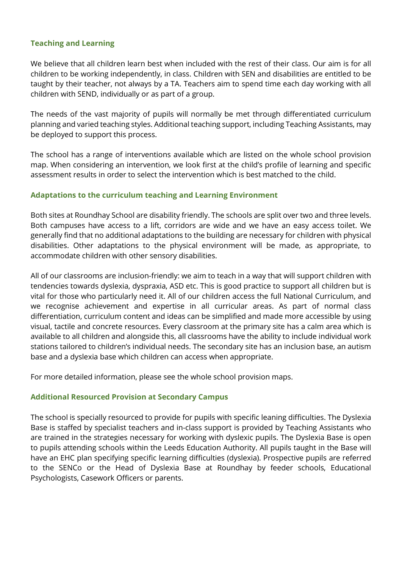## Teaching and Learning

We believe that all children learn best when included with the rest of their class. Our aim is for all children to be working independently, in class. Children with SEN and disabilities are entitled to be taught by their teacher, not always by a TA. Teachers aim to spend time each day working with all children with SEND, individually or as part of a group.

The needs of the vast majority of pupils will normally be met through differentiated curriculum planning and varied teaching styles. Additional teaching support, including Teaching Assistants, may be deployed to support this process.

The school has a range of interventions available which are listed on the whole school provision map. When considering an intervention, we look first at the child's profile of learning and specific assessment results in order to select the intervention which is best matched to the child.

## Adaptations to the curriculum teaching and Learning Environment

Both sites at Roundhay School are disability friendly. The schools are split over two and three levels. Both campuses have access to a lift, corridors are wide and we have an easy access toilet. We generally find that no additional adaptations to the building are necessary for children with physical disabilities. Other adaptations to the physical environment will be made, as appropriate, to accommodate children with other sensory disabilities.

All of our classrooms are inclusion-friendly: we aim to teach in a way that will support children with tendencies towards dyslexia, dyspraxia, ASD etc. This is good practice to support all children but is vital for those who particularly need it. All of our children access the full National Curriculum, and we recognise achievement and expertise in all curricular areas. As part of normal class differentiation, curriculum content and ideas can be simplified and made more accessible by using visual, tactile and concrete resources. Every classroom at the primary site has a calm area which is available to all children and alongside this, all classrooms have the ability to include individual work stations tailored to children's individual needs. The secondary site has an inclusion base, an autism base and a dyslexia base which children can access when appropriate.

For more detailed information, please see the whole school provision maps.

#### Additional Resourced Provision at Secondary Campus

The school is specially resourced to provide for pupils with specific leaning difficulties. The Dyslexia Base is staffed by specialist teachers and in-class support is provided by Teaching Assistants who are trained in the strategies necessary for working with dyslexic pupils. The Dyslexia Base is open to pupils attending schools within the Leeds Education Authority. All pupils taught in the Base will have an EHC plan specifying specific learning difficulties (dyslexia). Prospective pupils are referred to the SENCo or the Head of Dyslexia Base at Roundhay by feeder schools, Educational Psychologists, Casework Officers or parents.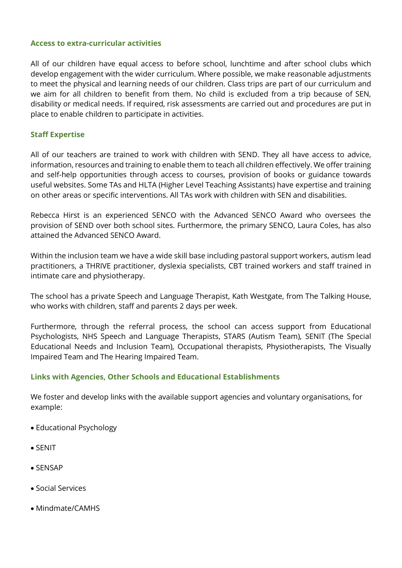#### Access to extra-curricular activities

All of our children have equal access to before school, lunchtime and after school clubs which develop engagement with the wider curriculum. Where possible, we make reasonable adjustments to meet the physical and learning needs of our children. Class trips are part of our curriculum and we aim for all children to benefit from them. No child is excluded from a trip because of SEN, disability or medical needs. If required, risk assessments are carried out and procedures are put in place to enable children to participate in activities.

#### Staff Expertise

All of our teachers are trained to work with children with SEND. They all have access to advice, information, resources and training to enable them to teach all children effectively. We offer training and self-help opportunities through access to courses, provision of books or guidance towards useful websites. Some TAs and HLTA (Higher Level Teaching Assistants) have expertise and training on other areas or specific interventions. All TAs work with children with SEN and disabilities.

Rebecca Hirst is an experienced SENCO with the Advanced SENCO Award who oversees the provision of SEND over both school sites. Furthermore, the primary SENCO, Laura Coles, has also attained the Advanced SENCO Award.

Within the inclusion team we have a wide skill base including pastoral support workers, autism lead practitioners, a THRIVE practitioner, dyslexia specialists, CBT trained workers and staff trained in intimate care and physiotherapy.

The school has a private Speech and Language Therapist, Kath Westgate, from The Talking House, who works with children, staff and parents 2 days per week.

Furthermore, through the referral process, the school can access support from Educational Psychologists, NHS Speech and Language Therapists, STARS (Autism Team), SENIT (The Special Educational Needs and Inclusion Team), Occupational therapists, Physiotherapists, The Visually Impaired Team and The Hearing Impaired Team.

#### Links with Agencies, Other Schools and Educational Establishments

We foster and develop links with the available support agencies and voluntary organisations, for example:

- Educational Psychology
- SENIT
- SENSAP
- Social Services
- Mindmate/CAMHS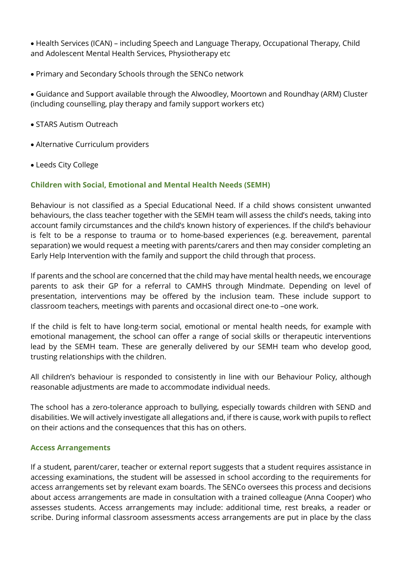Health Services (ICAN) – including Speech and Language Therapy, Occupational Therapy, Child and Adolescent Mental Health Services, Physiotherapy etc

Primary and Secondary Schools through the SENCo network

 Guidance and Support available through the Alwoodley, Moortown and Roundhay (ARM) Cluster (including counselling, play therapy and family support workers etc)

- STARS Autism Outreach
- Alternative Curriculum providers
- Leeds City College

## Children with Social, Emotional and Mental Health Needs (SEMH)

Behaviour is not classified as a Special Educational Need. If a child shows consistent unwanted behaviours, the class teacher together with the SEMH team will assess the child's needs, taking into account family circumstances and the child's known history of experiences. If the child's behaviour is felt to be a response to trauma or to home-based experiences (e.g. bereavement, parental separation) we would request a meeting with parents/carers and then may consider completing an Early Help Intervention with the family and support the child through that process.

If parents and the school are concerned that the child may have mental health needs, we encourage parents to ask their GP for a referral to CAMHS through Mindmate. Depending on level of presentation, interventions may be offered by the inclusion team. These include support to classroom teachers, meetings with parents and occasional direct one-to –one work.

If the child is felt to have long-term social, emotional or mental health needs, for example with emotional management, the school can offer a range of social skills or therapeutic interventions lead by the SEMH team. These are generally delivered by our SEMH team who develop good, trusting relationships with the children.

All children's behaviour is responded to consistently in line with our Behaviour Policy, although reasonable adjustments are made to accommodate individual needs.

The school has a zero-tolerance approach to bullying, especially towards children with SEND and disabilities. We will actively investigate all allegations and, if there is cause, work with pupils to reflect on their actions and the consequences that this has on others.

#### Access Arrangements

If a student, parent/carer, teacher or external report suggests that a student requires assistance in accessing examinations, the student will be assessed in school according to the requirements for access arrangements set by relevant exam boards. The SENCo oversees this process and decisions about access arrangements are made in consultation with a trained colleague (Anna Cooper) who assesses students. Access arrangements may include: additional time, rest breaks, a reader or scribe. During informal classroom assessments access arrangements are put in place by the class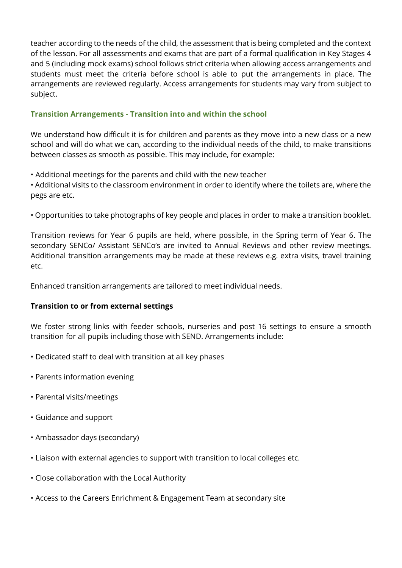teacher according to the needs of the child, the assessment that is being completed and the context of the lesson. For all assessments and exams that are part of a formal qualification in Key Stages 4 and 5 (including mock exams) school follows strict criteria when allowing access arrangements and students must meet the criteria before school is able to put the arrangements in place. The arrangements are reviewed regularly. Access arrangements for students may vary from subject to subject.

# Transition Arrangements - Transition into and within the school

We understand how difficult it is for children and parents as they move into a new class or a new school and will do what we can, according to the individual needs of the child, to make transitions between classes as smooth as possible. This may include, for example:

• Additional meetings for the parents and child with the new teacher

• Additional visits to the classroom environment in order to identify where the toilets are, where the pegs are etc.

• Opportunities to take photographs of key people and places in order to make a transition booklet.

Transition reviews for Year 6 pupils are held, where possible, in the Spring term of Year 6. The secondary SENCo/ Assistant SENCo's are invited to Annual Reviews and other review meetings. Additional transition arrangements may be made at these reviews e.g. extra visits, travel training etc.

Enhanced transition arrangements are tailored to meet individual needs.

# Transition to or from external settings

We foster strong links with feeder schools, nurseries and post 16 settings to ensure a smooth transition for all pupils including those with SEND. Arrangements include:

- Dedicated staff to deal with transition at all key phases
- Parents information evening
- Parental visits/meetings
- Guidance and support
- Ambassador days (secondary)
- Liaison with external agencies to support with transition to local colleges etc.
- Close collaboration with the Local Authority
- Access to the Careers Enrichment & Engagement Team at secondary site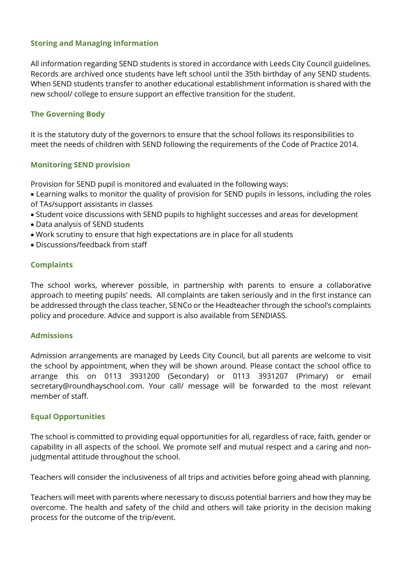## Storing and Managing Information

All information regarding SEND students is stored in accordance with Leeds City Council guidelines. Records are archived once students have left school until the 35th birthday of any SEND students. When SEND students transfer to another educational establishment information is shared with the new school/ college to ensure support an effective transition for the student.

## The Governing Body

It is the statutory duty of the governors to ensure that the school follows its responsibilities to meet the needs of children with SEND following the requirements of the Code of Practice 2014.

#### Monitoring SEND provision

Provision for SEND pupil is monitored and evaluated in the following ways:

- Learning walks to monitor the quality of provision for SEND pupils in lessons, including the roles of TAs/support assistants in classes
- Student voice discussions with SEND pupils to highlight successes and areas for development
- Data analysis of SEND students
- Work scrutiny to ensure that high expectations are in place for all students
- Discussions/feedback from staff

## Complaints

The school works, wherever possible, in partnership with parents to ensure a collaborative approach to meeting pupils' needs. All complaints are taken seriously and in the first instance can be addressed through the class teacher, SENCo or the Headteacher through the school's complaints policy and procedure. Advice and support is also available from SENDIASS.

#### Admissions

Admission arrangements are managed by Leeds City Council, but all parents are welcome to visit the school by appointment, when they will be shown around. Please contact the school office to arrange this on 0113 3931200 (Secondary) or 0113 3931207 (Primary) or email secretary@roundhayschool.com. Your call/ message will be forwarded to the most relevant member of staff.

#### Equal Opportunities

The school is committed to providing equal opportunities for all, regardless of race, faith, gender or capability in all aspects of the school. We promote self and mutual respect and a caring and nonjudgmental attitude throughout the school.

Teachers will consider the inclusiveness of all trips and activities before going ahead with planning.

Teachers will meet with parents where necessary to discuss potential barriers and how they may be overcome. The health and safety of the child and others will take priority in the decision making process for the outcome of the trip/event.